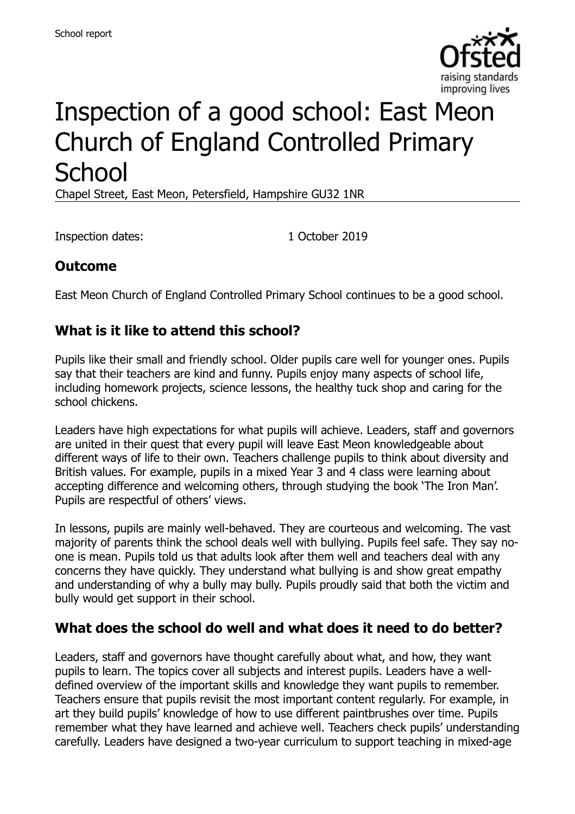

# Inspection of a good school: East Meon Church of England Controlled Primary **School**

Chapel Street, East Meon, Petersfield, Hampshire GU32 1NR

Inspection dates: 1 October 2019

# **Outcome**

East Meon Church of England Controlled Primary School continues to be a good school.

# **What is it like to attend this school?**

Pupils like their small and friendly school. Older pupils care well for younger ones. Pupils say that their teachers are kind and funny. Pupils enjoy many aspects of school life, including homework projects, science lessons, the healthy tuck shop and caring for the school chickens.

Leaders have high expectations for what pupils will achieve. Leaders, staff and governors are united in their quest that every pupil will leave East Meon knowledgeable about different ways of life to their own. Teachers challenge pupils to think about diversity and British values. For example, pupils in a mixed Year 3 and 4 class were learning about accepting difference and welcoming others, through studying the book 'The Iron Man'. Pupils are respectful of others' views.

In lessons, pupils are mainly well-behaved. They are courteous and welcoming. The vast majority of parents think the school deals well with bullying. Pupils feel safe. They say noone is mean. Pupils told us that adults look after them well and teachers deal with any concerns they have quickly. They understand what bullying is and show great empathy and understanding of why a bully may bully. Pupils proudly said that both the victim and bully would get support in their school.

#### **What does the school do well and what does it need to do better?**

Leaders, staff and governors have thought carefully about what, and how, they want pupils to learn. The topics cover all subjects and interest pupils. Leaders have a welldefined overview of the important skills and knowledge they want pupils to remember. Teachers ensure that pupils revisit the most important content regularly. For example, in art they build pupils' knowledge of how to use different paintbrushes over time. Pupils remember what they have learned and achieve well. Teachers check pupils' understanding carefully. Leaders have designed a two-year curriculum to support teaching in mixed-age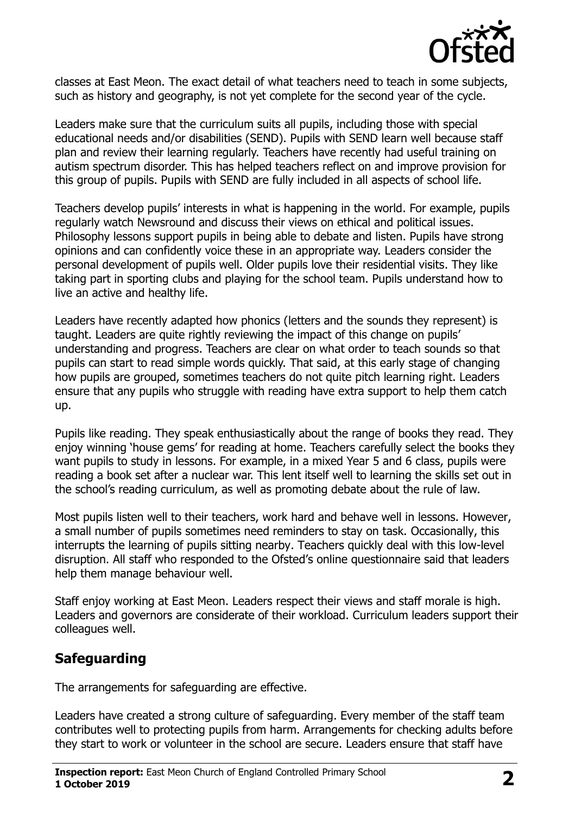

classes at East Meon. The exact detail of what teachers need to teach in some subjects, such as history and geography, is not yet complete for the second year of the cycle.

Leaders make sure that the curriculum suits all pupils, including those with special educational needs and/or disabilities (SEND). Pupils with SEND learn well because staff plan and review their learning regularly. Teachers have recently had useful training on autism spectrum disorder. This has helped teachers reflect on and improve provision for this group of pupils. Pupils with SEND are fully included in all aspects of school life.

Teachers develop pupils' interests in what is happening in the world. For example, pupils regularly watch Newsround and discuss their views on ethical and political issues. Philosophy lessons support pupils in being able to debate and listen. Pupils have strong opinions and can confidently voice these in an appropriate way. Leaders consider the personal development of pupils well. Older pupils love their residential visits. They like taking part in sporting clubs and playing for the school team. Pupils understand how to live an active and healthy life.

Leaders have recently adapted how phonics (letters and the sounds they represent) is taught. Leaders are quite rightly reviewing the impact of this change on pupils' understanding and progress. Teachers are clear on what order to teach sounds so that pupils can start to read simple words quickly. That said, at this early stage of changing how pupils are grouped, sometimes teachers do not quite pitch learning right. Leaders ensure that any pupils who struggle with reading have extra support to help them catch up.

Pupils like reading. They speak enthusiastically about the range of books they read. They enjoy winning 'house gems' for reading at home. Teachers carefully select the books they want pupils to study in lessons. For example, in a mixed Year 5 and 6 class, pupils were reading a book set after a nuclear war. This lent itself well to learning the skills set out in the school's reading curriculum, as well as promoting debate about the rule of law.

Most pupils listen well to their teachers, work hard and behave well in lessons. However, a small number of pupils sometimes need reminders to stay on task. Occasionally, this interrupts the learning of pupils sitting nearby. Teachers quickly deal with this low-level disruption. All staff who responded to the Ofsted's online questionnaire said that leaders help them manage behaviour well.

Staff enjoy working at East Meon. Leaders respect their views and staff morale is high. Leaders and governors are considerate of their workload. Curriculum leaders support their colleagues well.

# **Safeguarding**

The arrangements for safeguarding are effective.

Leaders have created a strong culture of safeguarding. Every member of the staff team contributes well to protecting pupils from harm. Arrangements for checking adults before they start to work or volunteer in the school are secure. Leaders ensure that staff have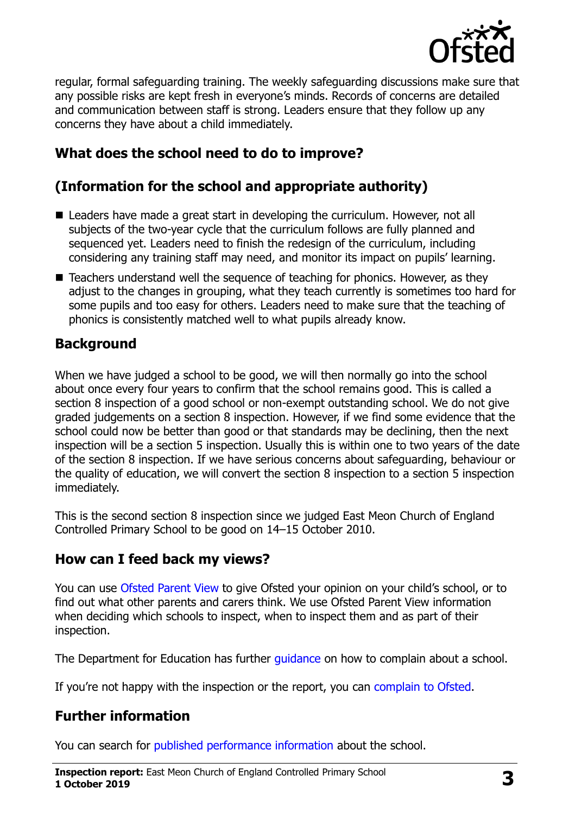

regular, formal safeguarding training. The weekly safeguarding discussions make sure that any possible risks are kept fresh in everyone's minds. Records of concerns are detailed and communication between staff is strong. Leaders ensure that they follow up any concerns they have about a child immediately.

# **What does the school need to do to improve?**

# **(Information for the school and appropriate authority)**

- Leaders have made a great start in developing the curriculum. However, not all subjects of the two-year cycle that the curriculum follows are fully planned and sequenced yet. Leaders need to finish the redesign of the curriculum, including considering any training staff may need, and monitor its impact on pupils' learning.
- Teachers understand well the sequence of teaching for phonics. However, as they adjust to the changes in grouping, what they teach currently is sometimes too hard for some pupils and too easy for others. Leaders need to make sure that the teaching of phonics is consistently matched well to what pupils already know.

#### **Background**

When we have judged a school to be good, we will then normally go into the school about once every four years to confirm that the school remains good. This is called a section 8 inspection of a good school or non-exempt outstanding school. We do not give graded judgements on a section 8 inspection. However, if we find some evidence that the school could now be better than good or that standards may be declining, then the next inspection will be a section 5 inspection. Usually this is within one to two years of the date of the section 8 inspection. If we have serious concerns about safeguarding, behaviour or the quality of education, we will convert the section 8 inspection to a section 5 inspection immediately.

This is the second section 8 inspection since we judged East Meon Church of England Controlled Primary School to be good on 14–15 October 2010.

# **How can I feed back my views?**

You can use [Ofsted Parent View](https://parentview.ofsted.gov.uk/) to give Ofsted your opinion on your child's school, or to find out what other parents and carers think. We use Ofsted Parent View information when deciding which schools to inspect, when to inspect them and as part of their inspection.

The Department for Education has further quidance on how to complain about a school.

If you're not happy with the inspection or the report, you can [complain to Ofsted.](https://www.gov.uk/complain-ofsted-report)

# **Further information**

You can search for [published performance information](http://www.compare-school-performance.service.gov.uk/) about the school.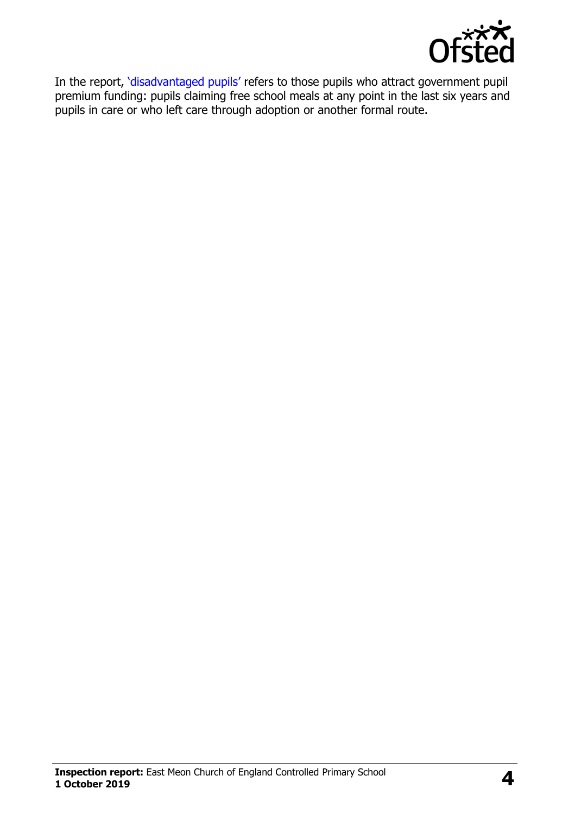

In the report, '[disadvantaged pupils](http://www.gov.uk/guidance/pupil-premium-information-for-schools-and-alternative-provision-settings)' refers to those pupils who attract government pupil premium funding: pupils claiming free school meals at any point in the last six years and pupils in care or who left care through adoption or another formal route.

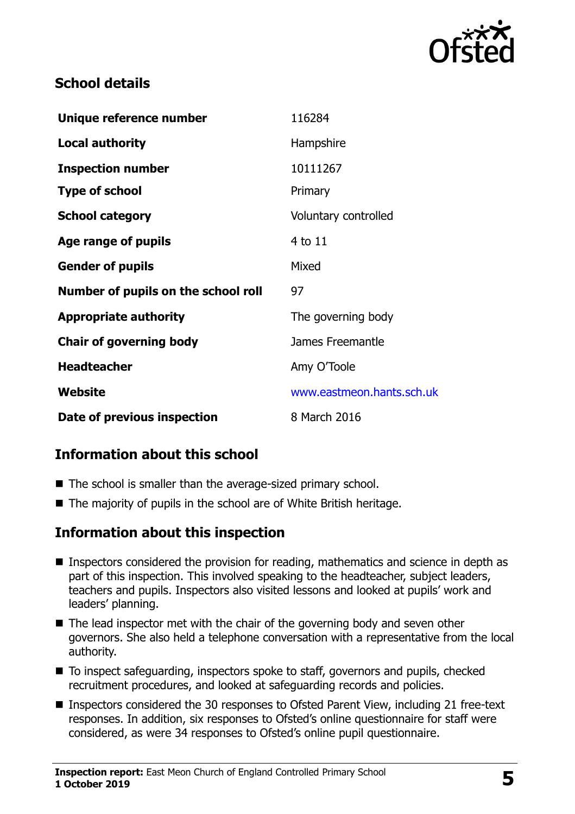

#### **School details**

| Unique reference number             | 116284                    |
|-------------------------------------|---------------------------|
| <b>Local authority</b>              | Hampshire                 |
| <b>Inspection number</b>            | 10111267                  |
| <b>Type of school</b>               | Primary                   |
| <b>School category</b>              | Voluntary controlled      |
| Age range of pupils                 | 4 to 11                   |
| <b>Gender of pupils</b>             | Mixed                     |
| Number of pupils on the school roll | 97                        |
| <b>Appropriate authority</b>        | The governing body        |
| <b>Chair of governing body</b>      | James Freemantle          |
| <b>Headteacher</b>                  | Amy O'Toole               |
| Website                             | www.eastmeon.hants.sch.uk |
| Date of previous inspection         | 8 March 2016              |

# **Information about this school**

- The school is smaller than the average-sized primary school.
- The majority of pupils in the school are of White British heritage.

#### **Information about this inspection**

- Inspectors considered the provision for reading, mathematics and science in depth as part of this inspection. This involved speaking to the headteacher, subject leaders, teachers and pupils. Inspectors also visited lessons and looked at pupils' work and leaders' planning.
- The lead inspector met with the chair of the governing body and seven other governors. She also held a telephone conversation with a representative from the local authority.
- To inspect safequarding, inspectors spoke to staff, governors and pupils, checked recruitment procedures, and looked at safeguarding records and policies.
- Inspectors considered the 30 responses to Ofsted Parent View, including 21 free-text responses. In addition, six responses to Ofsted's online questionnaire for staff were considered, as were 34 responses to Ofsted's online pupil questionnaire.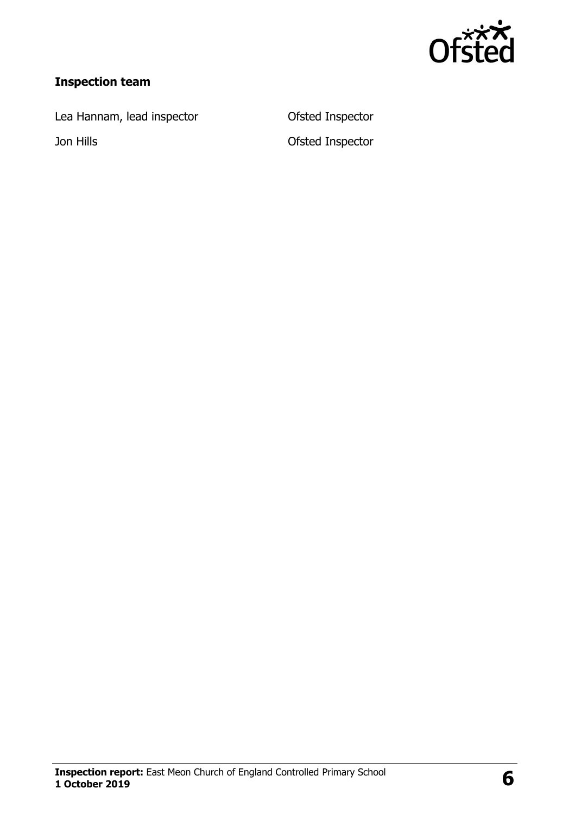

# **Inspection team**

Lea Hannam, lead inspector **Canadia** Ofsted Inspector

Jon Hills Ofsted Inspector